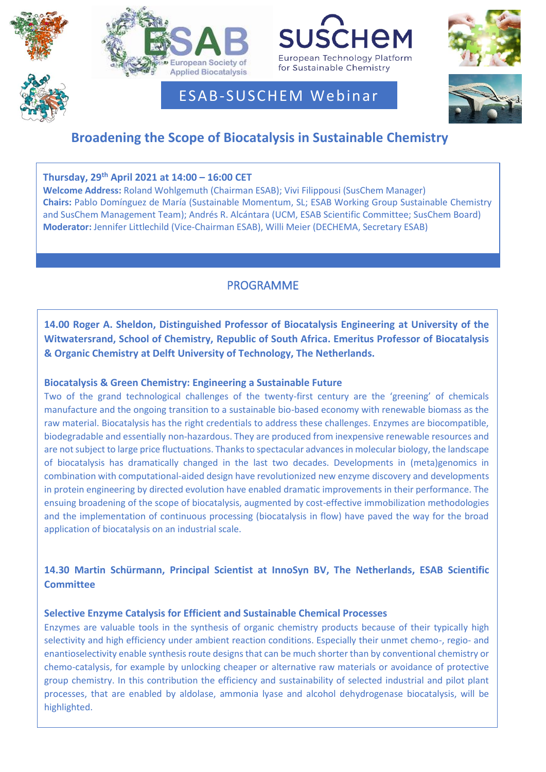





# ESAB-SUSCHEM Webinar



# **Broadening the Scope of Biocatalysis in Sustainable Chemistry**

# **Thursday, 29 th April 2021 at 14:00 – 16:00 CET**

**Welcome Address:** Roland Wohlgemuth (Chairman ESAB); Vivi Filippousi (SusChem Manager) **Chairs:** Pablo Domínguez de María (Sustainable Momentum, SL; ESAB Working Group Sustainable Chemistry and SusChem Management Team); Andrés R. Alcántara (UCM, ESAB Scientific Committee; SusChem Board) **Moderator:** Jennifer Littlechild (Vice-Chairman ESAB), Willi Meier (DECHEMA, Secretary ESAB)

# PROGRAMME

**14.00 Roger A. Sheldon, Distinguished Professor of Biocatalysis Engineering at University of the Witwatersrand, School of Chemistry, Republic of South Africa. Emeritus Professor of Biocatalysis & Organic Chemistry at Delft University of Technology, The Netherlands.**

# **Biocatalysis & Green Chemistry: Engineering a Sustainable Future**

Two of the grand technological challenges of the twenty-first century are the 'greening' of chemicals manufacture and the ongoing transition to a sustainable bio-based economy with renewable biomass as the raw material. Biocatalysis has the right credentials to address these challenges. Enzymes are biocompatible, biodegradable and essentially non-hazardous. They are produced from inexpensive renewable resources and are not subject to large price fluctuations. Thanks to spectacular advances in molecular biology, the landscape of biocatalysis has dramatically changed in the last two decades. Developments in (meta)genomics in combination with computational-aided design have revolutionized new enzyme discovery and developments in protein engineering by directed evolution have enabled dramatic improvements in their performance. The ensuing broadening of the scope of biocatalysis, augmented by cost-effective immobilization methodologies and the implementation of continuous processing (biocatalysis in flow) have paved the way for the broad application of biocatalysis on an industrial scale.

# **14.30 Martin Schürmann, Principal Scientist at InnoSyn BV, The Netherlands, ESAB Scientific Committee**

## **Selective Enzyme Catalysis for Efficient and Sustainable Chemical Processes**

Enzymes are valuable tools in the synthesis of organic chemistry products because of their typically high selectivity and high efficiency under ambient reaction conditions. Especially their unmet chemo-, regio- and enantioselectivity enable synthesis route designs that can be much shorter than by conventional chemistry or chemo-catalysis, for example by unlocking cheaper or alternative raw materials or avoidance of protective group chemistry. In this contribution the efficiency and sustainability of selected industrial and pilot plant processes, that are enabled by aldolase, ammonia lyase and alcohol dehydrogenase biocatalysis, will be highlighted.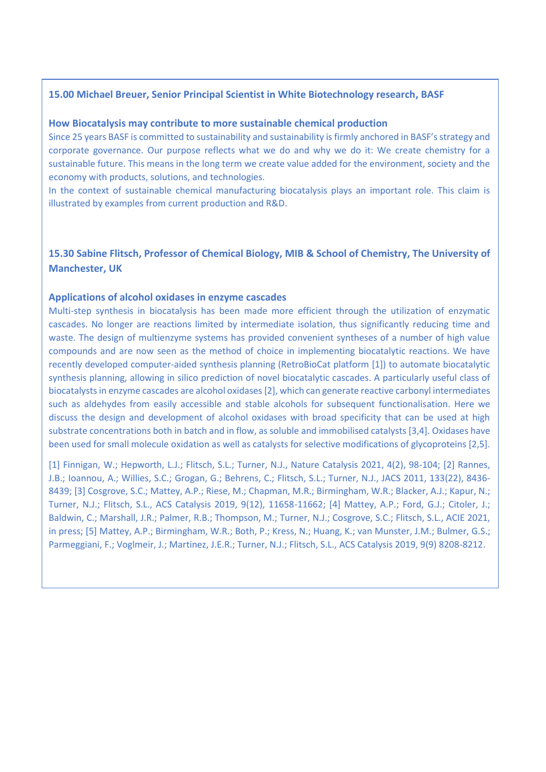#### **15.00 Michael Breuer, Senior Principal Scientist in White Biotechnology research, BASF**

#### **How Biocatalysis may contribute to more sustainable chemical production**

Since 25 years BASF is committed to sustainability and sustainability is firmly anchored in BASF's strategy and corporate governance. Our purpose reflects what we do and why we do it: We create chemistry for a sustainable future. This means in the long term we create value added for the environment, society and the economy with products, solutions, and technologies.

In the context of sustainable chemical manufacturing biocatalysis plays an important role. This claim is illustrated by examples from current production and R&D.

### **15.30 Sabine Flitsch, Professor of Chemical Biology, MIB & School of Chemistry, The University of Manchester, UK**

#### **Applications of alcohol oxidases in enzyme cascades**

 substrate concentrations both in batch and in flow, as soluble and immobilised catalysts [3,4]. Oxidases have been used for small molecule oxidation as well as catalysts for selective modifications of glycoproteins [2,5]. Multi-step synthesis in biocatalysis has been made more efficient through the utilization of enzymatic cascades. No longer are reactions limited by intermediate isolation, thus significantly reducing time and waste. The design of multienzyme systems has provided convenient syntheses of a number of high value compounds and are now seen as the method of choice in implementing biocatalytic reactions. We have recently developed computer-aided synthesis planning (RetroBioCat platform [1]) to automate biocatalytic synthesis planning, allowing in silico prediction of novel biocatalytic cascades. A particularly useful class of biocatalysts in enzyme cascades are alcohol oxidases [2], which can generate reactive carbonyl intermediates such as aldehydes from easily accessible and stable alcohols for subsequent functionalisation. Here we discuss the design and development of alcohol oxidases with broad specificity that can be used at high

 [1] Finnigan, W.; Hepworth, L.J.; Flitsch, S.L.; Turner, N.J., Nature Catalysis 2021, 4(2), 98-104; [2] Rannes, J.B.; Ioannou, A.; Willies, S.C.; Grogan, G.; Behrens, C.; Flitsch, S.L.; Turner, N.J., JACS 2011, 133(22), 8436- 8439; [3] Cosgrove, S.C.; Mattey, A.P.; Riese, M.; Chapman, M.R.; Birmingham, W.R.; Blacker, A.J.; Kapur, N.; The contract of the contract of the contract of the contract of the contract of the contract of the contract of Turner, N.J.; Flitsch, S.L., ACS Catalysis 2019, 9(12), 11658-11662; [4] Mattey, A.P.; Ford, G.J.; Citoler, J.; in press; [5] Mattey, A.P.; Birmingham, W.R.; Both, P.; Kress, N.; Huang, K.; van Munster, J.M.; Bulmer, G.S.; Parmeggiani, F.; Voglmeir, J.; Martinez, J.E.R.; Turner, N.J.; Flitsch, S.L., ACS Catalysis 2019, 9(9) 8208-8212. Baldwin, C.; Marshall, J.R.; Palmer, R.B.; Thompson, M.; Turner, N.J.; Cosgrove, S.C.; Flitsch, S.L., ACIE 2021,

 $\overline{a}$